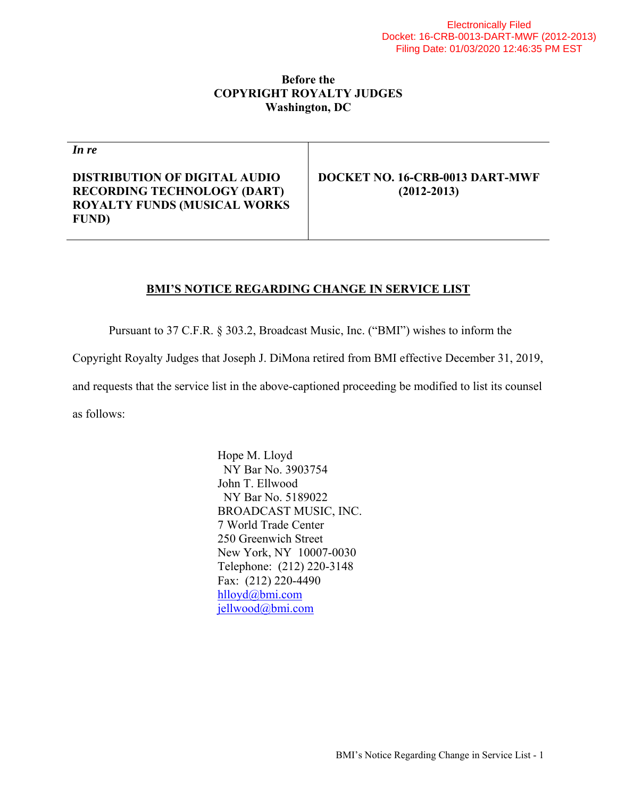## **Before the COPYRIGHT ROYALTY JUDGES Washington, DC**

*In re*

**DISTRIBUTION OF DIGITAL AUDIO RECORDING TECHNOLOGY (DART) ROYALTY FUNDS (MUSICAL WORKS FUND)** 

**DOCKET NO. 16-CRB-0013 DART-MWF (2012-2013)** 

## **BMI'S NOTICE REGARDING CHANGE IN SERVICE LIST**

Pursuant to 37 C.F.R. § 303.2, Broadcast Music, Inc. ("BMI") wishes to inform the

Copyright Royalty Judges that Joseph J. DiMona retired from BMI effective December 31, 2019,

and requests that the service list in the above-captioned proceeding be modified to list its counsel

as follows:

 Hope M. Lloyd NY Bar No. 3903754 John T. Ellwood NY Bar No. 5189022 BROADCAST MUSIC, INC. 7 World Trade Center 250 Greenwich Street New York, NY 10007-0030 Telephone: (212) 220-3148 Fax: (212) 220-4490 hlloyd@bmi.com jellwood@bmi.com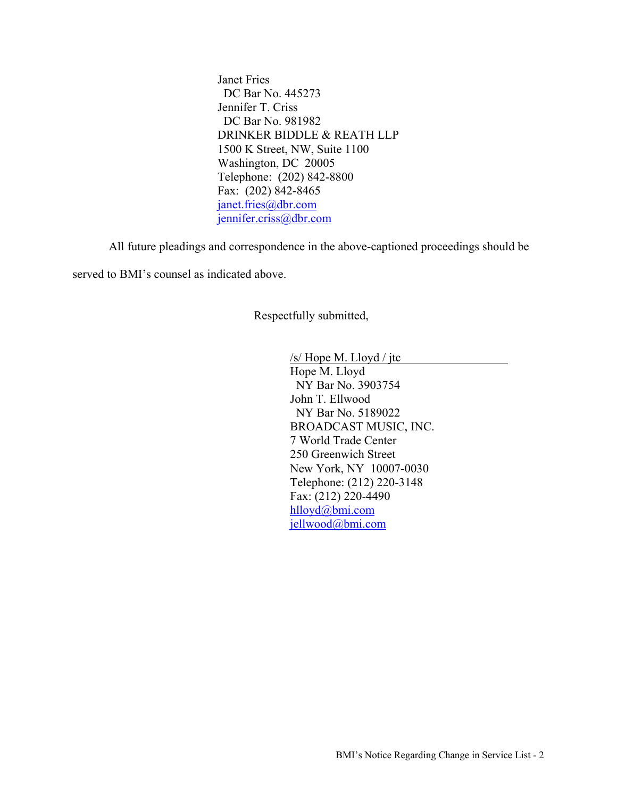Janet Fries DC Bar No. 445273 Jennifer T. Criss DC Bar No. 981982 DRINKER BIDDLE & REATH LLP 1500 K Street, NW, Suite 1100 Washington, DC 20005 Telephone: (202) 842-8800 Fax: (202) 842-8465 janet.fries@dbr.com jennifer.criss@dbr.com

All future pleadings and correspondence in the above-captioned proceedings should be

served to BMI's counsel as indicated above.

Respectfully submitted,

 /s/ Hope M. Lloyd / jtc Hope M. Lloyd NY Bar No. 3903754 John T. Ellwood NY Bar No. 5189022 BROADCAST MUSIC, INC. 7 World Trade Center 250 Greenwich Street New York, NY 10007-0030 Telephone: (212) 220-3148 Fax: (212) 220-4490 hlloyd@bmi.com jellwood@bmi.com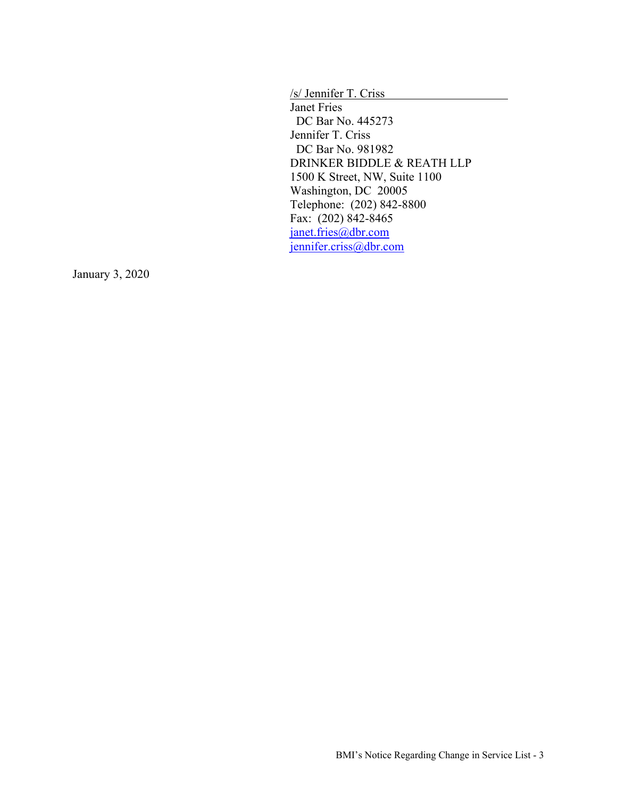/s/ Jennifer T. Criss

Janet Fries DC Bar No. 445273 Jennifer T. Criss DC Bar No. 981982 DRINKER BIDDLE & REATH LLP 1500 K Street, NW, Suite 1100 Washington, DC 20005 Telephone: (202) 842-8800 Fax: (202) 842-8465 janet.fries@dbr.com jennifer.criss@dbr.com

January 3, 2020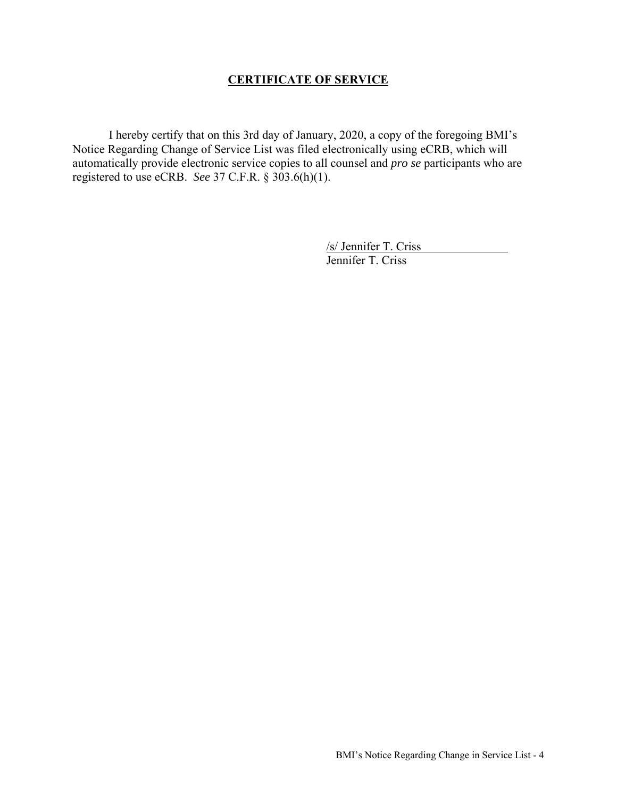## **CERTIFICATE OF SERVICE**

 I hereby certify that on this 3rd day of January, 2020, a copy of the foregoing BMI's Notice Regarding Change of Service List was filed electronically using eCRB, which will automatically provide electronic service copies to all counsel and *pro se* participants who are registered to use eCRB. *See* 37 C.F.R. § 303.6(h)(1).

> /s/ Jennifer T. Criss Jennifer T. Criss